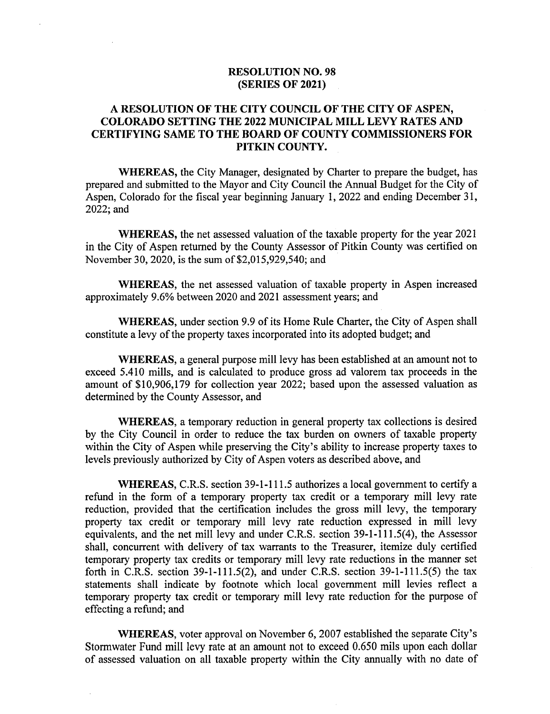## RESOLUTION NO. 98 SERIES OF 2021)

## A RESOLUTION OF THE CITY COUNCIL OF THE CITY OF ASPEN, COLORADO SETTING THE 2022 MUNICIPAL MILL LEVY RATES AND CERTIFYING SAME TO THE BOARD OF COUNTY COMMISSIONERS FOR PITKIN COUNTY.

WHEREAS, the City Manager, designated by Charter to prepare the budget, has prepared and submitted to the Mayor and City Council the Annual Budget for the City of Aspen, Colorado for the fiscal year beginning January 1, 2022 and ending December 31, 2022; and

WHEREAS, the net assessed valuation of the taxable property for the year 2021 in the City of Aspen returned by the County Assessor of Pitkin County was certified on November 30, 2020, is the sum of \$2,015,929,540; and

WHEREAS, the net assessed valuation of taxable property in Aspen increased approximately 9.6% between 2020 and 2021 assessment years; and

WHEREAS, under section 9.9 of its Home Rule Charter, the City of Aspen shall constitute <sup>a</sup> levy of the property taxes incorporated into its adopted budget; and

WHEREAS, a general purpose mill levy has been established at an amount not to exceed 5. 410 mills, and is calculated to produce gross ad valorem tax proceeds in the amount of \$10,906,179 for collection year 2022; based upon the assessed valuation as determined by the County Assessor, and

WHEREAS, a temporary reduction in general property tax collections is desired by the City Council in order to reduce the tax burden on owners of taxable property within the City of Aspen while preserving the City's ability to increase property taxes to levels previously authorized by City of Aspen voters as described above, and

WHEREAS, C.R.S. section 39-1-111.5 authorizes a local government to certify a refund in the form of a temporary property tax credit or <sup>a</sup> temporary mill levy rate reduction, provided that the certification includes the gross mill levy, the temporary property tax credit or temporary mill levy rate reduction expressed in mill levy equivalents, and the net mill levy and under C.R.S. section 39-1-111.5(4), the Assessor shall, concurrent with delivery of tax warrants to the Treasurer, itemize duly certified temporary property tax credits or temporary mill levy rate reductions in the manner set forth in C.R.S. section 39-1-111.5(2), and under C.R.S. section 39-1-111.5(5) the tax statements shall indicate by footnote which local government mill levies reflect a temporary property tax credit or temporary mill levy rate reduction for the purpose of effecting a refund; and

WHEREAS, voter approval on November 6, 2007 established the separate City's Stormwater Fund mill levy rate at an amount not to exceed 0.650 mils upon each dollar of assessed valuation on all taxable property within the City annually with no date of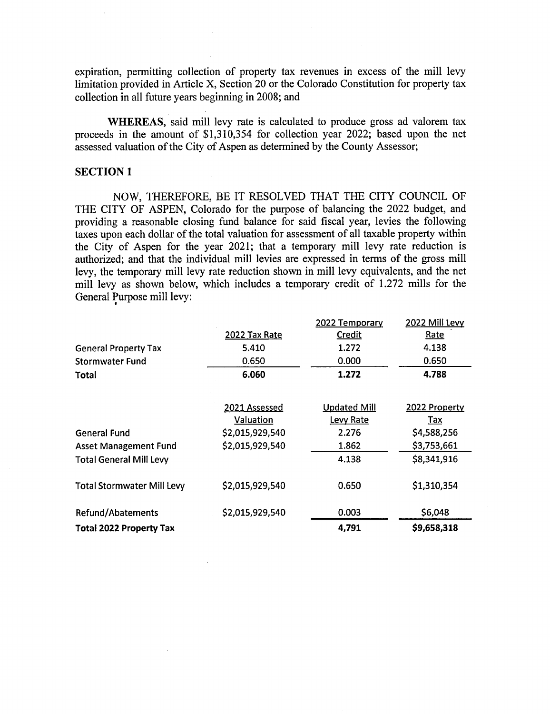expiration, permitting collection of property tax revenues in excess of the mill levy limitation provided in Article X, Section 20 or the Colorado Constitution for property tax collection in all future years beginning in 2008; and

WHEREAS, said mill levy rate is calculated to produce gross ad valorem tax proceeds in the amount of  $$1,310,354$  for collection year 2022; based upon the net assessed valuation of the City of Aspen as determined by the County Assessor;

## SECTION <sup>1</sup>

NOW, THEREFORE, BE IT RESOLVED THAT THE CITY COUNCIL OF THE CITY OF ASPEN, Colorado for the purpose of balancing the 2022 budget, and providing a reasonable closing fund balance for said fiscal year, levies the following taxes upon each dollar of the total valuation for assessment of all taxable property within the City of Aspen for the year 2021; that <sup>a</sup> temporary mill levy rate reduction is authorized; and that the individual mill levies are expressed in terms of the gross mill levy, the temporary mill levy rate reduction shown in mill levy equivalents, and the net mill levy as shown below, which includes a temporary credit of 1.272 mills for the General Purpose mill levy:

|                                   |                 | 2022 Temporary      | 2022 Mill Levy |
|-----------------------------------|-----------------|---------------------|----------------|
|                                   | 2022 Tax Rate   | Credit              | Rate           |
| <b>General Property Tax</b>       | 5.410           | 1.272               | 4.138          |
| <b>Stormwater Fund</b>            | 0.650           | 0.000               | 0.650          |
| Total                             | 6.060           | 1.272               | 4.788          |
|                                   | 2021 Assessed   | <b>Updated Mill</b> | 2022 Property  |
|                                   | Valuation       | <b>Levy Rate</b>    | Tax            |
| <b>General Fund</b>               | \$2,015,929,540 | 2.276               | \$4,588,256    |
| <b>Asset Management Fund</b>      | \$2,015,929,540 | 1.862               | \$3,753,661    |
| <b>Total General Mill Levy</b>    |                 | 4.138               | \$8,341,916    |
| <b>Total Stormwater Mill Levy</b> | \$2,015,929,540 | 0.650               | \$1,310,354    |
| <b>Refund/Abatements</b>          | \$2,015,929,540 | 0.003               | \$6,048        |
| <b>Total 2022 Property Tax</b>    |                 | 4,791               | \$9,658,318    |